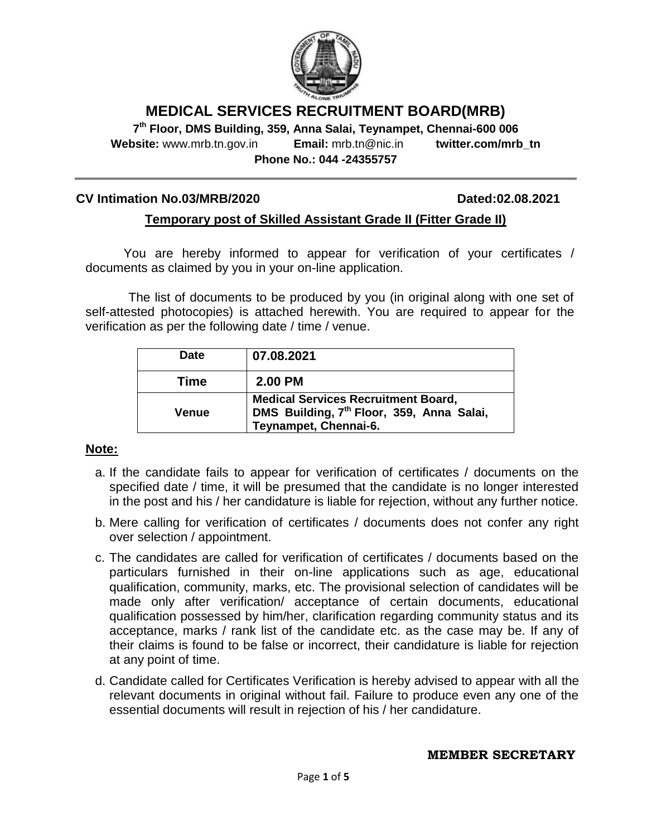

# **MEDICAL SERVICES RECRUITMENT BOARD(MRB)**

**7 th Floor, DMS Building, 359, Anna Salai, Teynampet, Chennai-600 006 Website:** www.mrb.tn.gov.in **Email:** mrb.tn@nic.in **twitter.com/mrb\_tn Phone No.: 044 -24355757**

#### **CV Intimation No.03/MRB/2020 Dated:02.08.2021**

### **Temporary post of Skilled Assistant Grade II (Fitter Grade II)**

You are hereby informed to appear for verification of your certificates / documents as claimed by you in your on-line application.

The list of documents to be produced by you (in original along with one set of self-attested photocopies) is attached herewith. You are required to appear for the verification as per the following date / time / venue.

| <b>Date</b> | 07.08.2021                                                                                                                   |
|-------------|------------------------------------------------------------------------------------------------------------------------------|
| Time        | <b>2.00 PM</b>                                                                                                               |
| Venue       | <b>Medical Services Recruitment Board,</b><br>DMS Building, 7 <sup>th</sup> Floor, 359, Anna Salai,<br>Teynampet, Chennai-6. |

#### **Note:**

- a. If the candidate fails to appear for verification of certificates / documents on the specified date / time, it will be presumed that the candidate is no longer interested in the post and his / her candidature is liable for rejection, without any further notice.
- b. Mere calling for verification of certificates / documents does not confer any right over selection / appointment.
- c. The candidates are called for verification of certificates / documents based on the particulars furnished in their on-line applications such as age, educational qualification, community, marks, etc. The provisional selection of candidates will be made only after verification/ acceptance of certain documents, educational qualification possessed by him/her, clarification regarding community status and its acceptance, marks / rank list of the candidate etc. as the case may be. If any of their claims is found to be false or incorrect, their candidature is liable for rejection at any point of time.
- d. Candidate called for Certificates Verification is hereby advised to appear with all the relevant documents in original without fail. Failure to produce even any one of the essential documents will result in rejection of his / her candidature.

#### **MEMBER SECRETARY**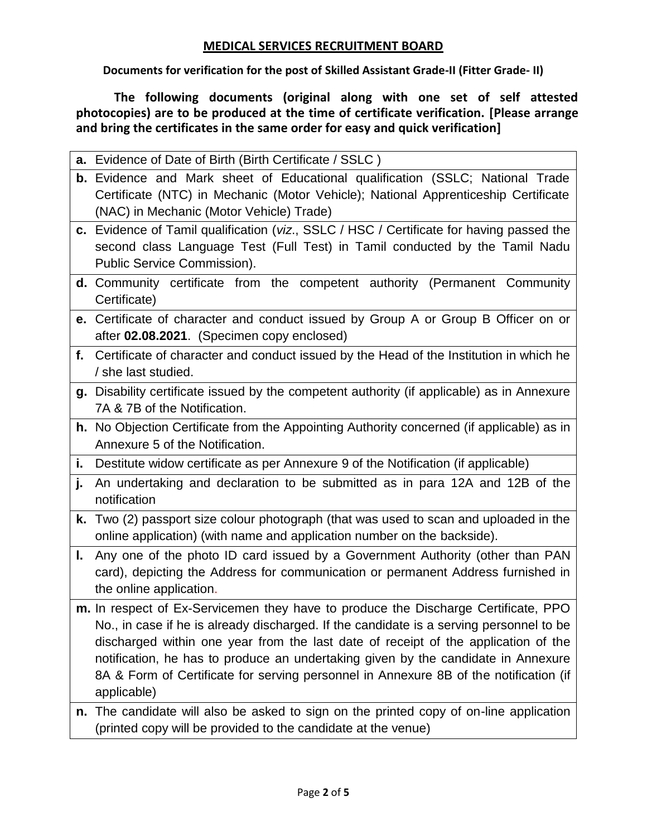# **MEDICAL SERVICES RECRUITMENT BOARD**

**Documents for verification for the post of Skilled Assistant Grade-II (Fitter Grade- II)**

**The following documents (original along with one set of self attested photocopies) are to be produced at the time of certificate verification. [Please arrange and bring the certificates in the same order for easy and quick verification]**

|    | a. Evidence of Date of Birth (Birth Certificate / SSLC)                                                                                                                                                         |  |  |  |
|----|-----------------------------------------------------------------------------------------------------------------------------------------------------------------------------------------------------------------|--|--|--|
|    | b. Evidence and Mark sheet of Educational qualification (SSLC; National Trade<br>Certificate (NTC) in Mechanic (Motor Vehicle); National Apprenticeship Certificate<br>(NAC) in Mechanic (Motor Vehicle) Trade) |  |  |  |
|    | c. Evidence of Tamil qualification (viz., SSLC / HSC / Certificate for having passed the                                                                                                                        |  |  |  |
|    | second class Language Test (Full Test) in Tamil conducted by the Tamil Nadu                                                                                                                                     |  |  |  |
|    | Public Service Commission).                                                                                                                                                                                     |  |  |  |
|    | <b>d.</b> Community certificate from the competent authority (Permanent Community                                                                                                                               |  |  |  |
|    | Certificate)                                                                                                                                                                                                    |  |  |  |
|    | e. Certificate of character and conduct issued by Group A or Group B Officer on or                                                                                                                              |  |  |  |
|    | after 02.08.2021. (Specimen copy enclosed)                                                                                                                                                                      |  |  |  |
|    | f. Certificate of character and conduct issued by the Head of the Institution in which he                                                                                                                       |  |  |  |
|    | / she last studied.                                                                                                                                                                                             |  |  |  |
|    | g. Disability certificate issued by the competent authority (if applicable) as in Annexure                                                                                                                      |  |  |  |
|    | 7A & 7B of the Notification.                                                                                                                                                                                    |  |  |  |
|    | h. No Objection Certificate from the Appointing Authority concerned (if applicable) as in                                                                                                                       |  |  |  |
|    | Annexure 5 of the Notification.                                                                                                                                                                                 |  |  |  |
| i. | Destitute widow certificate as per Annexure 9 of the Notification (if applicable)                                                                                                                               |  |  |  |
| j. | An undertaking and declaration to be submitted as in para 12A and 12B of the<br>notification                                                                                                                    |  |  |  |
|    | k. Two (2) passport size colour photograph (that was used to scan and uploaded in the<br>online application) (with name and application number on the backside).                                                |  |  |  |
| L. | Any one of the photo ID card issued by a Government Authority (other than PAN                                                                                                                                   |  |  |  |
|    | card), depicting the Address for communication or permanent Address furnished in                                                                                                                                |  |  |  |
|    | the online application.                                                                                                                                                                                         |  |  |  |
|    | m. In respect of Ex-Servicemen they have to produce the Discharge Certificate, PPO                                                                                                                              |  |  |  |
|    | No., in case if he is already discharged. If the candidate is a serving personnel to be                                                                                                                         |  |  |  |
|    | discharged within one year from the last date of receipt of the application of the                                                                                                                              |  |  |  |
|    | notification, he has to produce an undertaking given by the candidate in Annexure                                                                                                                               |  |  |  |
|    | 8A & Form of Certificate for serving personnel in Annexure 8B of the notification (if<br>applicable)                                                                                                            |  |  |  |
|    |                                                                                                                                                                                                                 |  |  |  |
| n. | The candidate will also be asked to sign on the printed copy of on-line application<br>(printed copy will be provided to the candidate at the venue)                                                            |  |  |  |
|    |                                                                                                                                                                                                                 |  |  |  |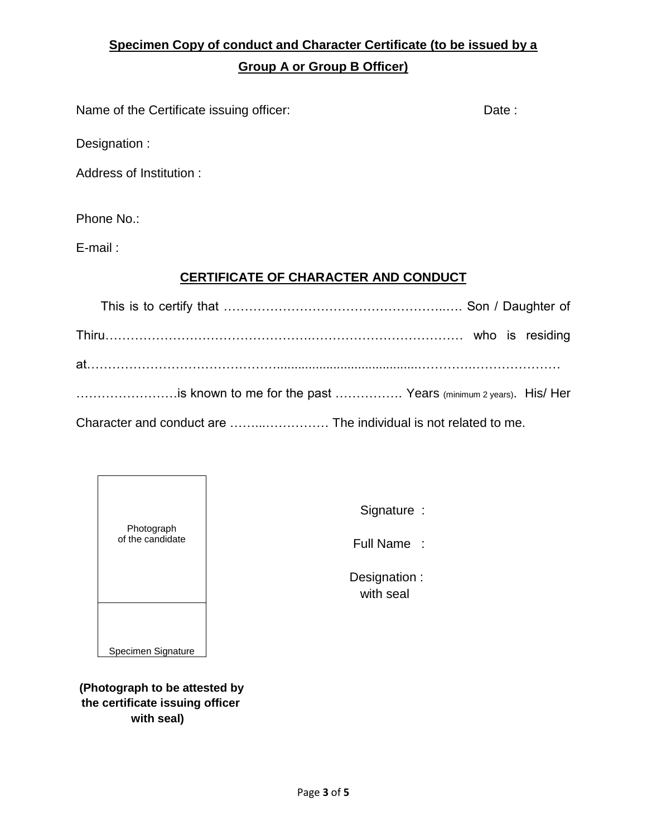# **Specimen Copy of conduct and Character Certificate (to be issued by a Group A or Group B Officer)**

Name of the Certificate issuing officer: Date: Date :

Designation :

Address of Institution :

Phone No.:

E-mail :

# **CERTIFICATE OF CHARACTER AND CONDUCT**

| is known to me for the past  Years (minimum 2 years). His/ Her |  |
|----------------------------------------------------------------|--|
|                                                                |  |

| Photograph<br>of the candidate |  |
|--------------------------------|--|
| Specimen Signature             |  |

Signature :

Full Name :

 Designation : with seal

**(Photograph to be attested by the certificate issuing officer with seal)**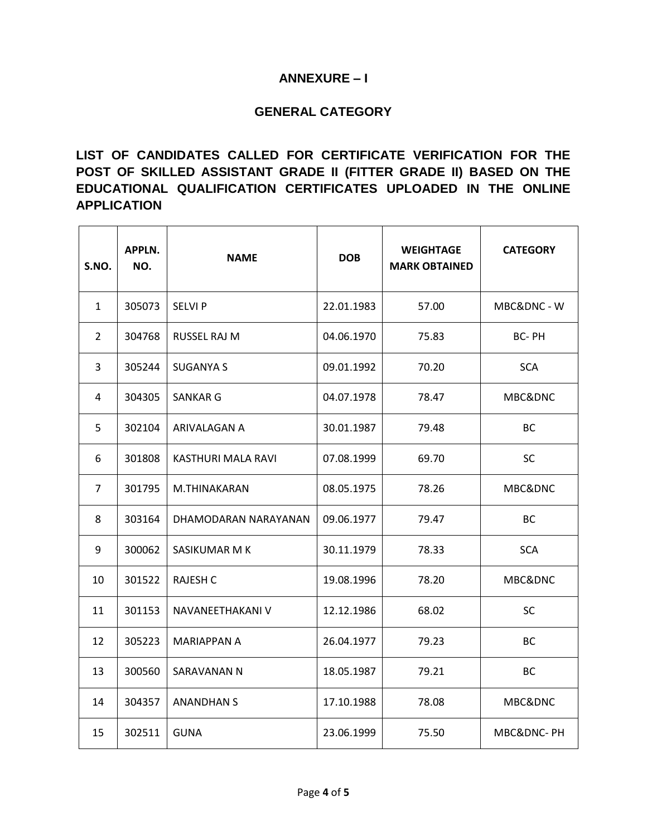### **ANNEXURE – I**

## **GENERAL CATEGORY**

# **LIST OF CANDIDATES CALLED FOR CERTIFICATE VERIFICATION FOR THE POST OF SKILLED ASSISTANT GRADE II (FITTER GRADE II) BASED ON THE EDUCATIONAL QUALIFICATION CERTIFICATES UPLOADED IN THE ONLINE APPLICATION**

| S.NO.          | APPLN.<br>NO. | <b>NAME</b>          | <b>DOB</b> | <b>WEIGHTAGE</b><br><b>MARK OBTAINED</b> | <b>CATEGORY</b> |
|----------------|---------------|----------------------|------------|------------------------------------------|-----------------|
| $\mathbf{1}$   | 305073        | <b>SELVIP</b>        | 22.01.1983 | 57.00                                    | MBC&DNC - W     |
| $\overline{2}$ | 304768        | RUSSEL RAJ M         | 04.06.1970 | 75.83                                    | <b>BC-PH</b>    |
| 3              | 305244        | SUGANYA S            | 09.01.1992 | 70.20                                    | <b>SCA</b>      |
| 4              | 304305        | SANKAR G             | 04.07.1978 | 78.47                                    | MBC&DNC         |
| 5.             | 302104        | ARIVALAGAN A         | 30.01.1987 | 79.48                                    | ВC              |
| 6              | 301808        | KASTHURI MALA RAVI   | 07.08.1999 | 69.70                                    | <b>SC</b>       |
| $\overline{7}$ | 301795        | M.THINAKARAN         | 08.05.1975 | 78.26                                    | MBC&DNC         |
| 8              | 303164        | DHAMODARAN NARAYANAN | 09.06.1977 | 79.47                                    | <b>BC</b>       |
| 9              | 300062        | SASIKUMAR M K        | 30.11.1979 | 78.33                                    | <b>SCA</b>      |
| 10             | 301522        | <b>RAJESH C</b>      | 19.08.1996 | 78.20                                    | MBC&DNC         |
| 11             | 301153        | NAVANEETHAKANI V     | 12.12.1986 | 68.02                                    | <b>SC</b>       |
| 12             | 305223        | MARIAPPAN A          | 26.04.1977 | 79.23                                    | <b>BC</b>       |
| 13             | 300560        | SARAVANAN N          | 18.05.1987 | 79.21                                    | <b>BC</b>       |
| 14             | 304357        | <b>ANANDHAN S</b>    | 17.10.1988 | 78.08                                    | MBC&DNC         |
| 15             | 302511        | <b>GUNA</b>          | 23.06.1999 | 75.50                                    | MBC&DNC-PH      |